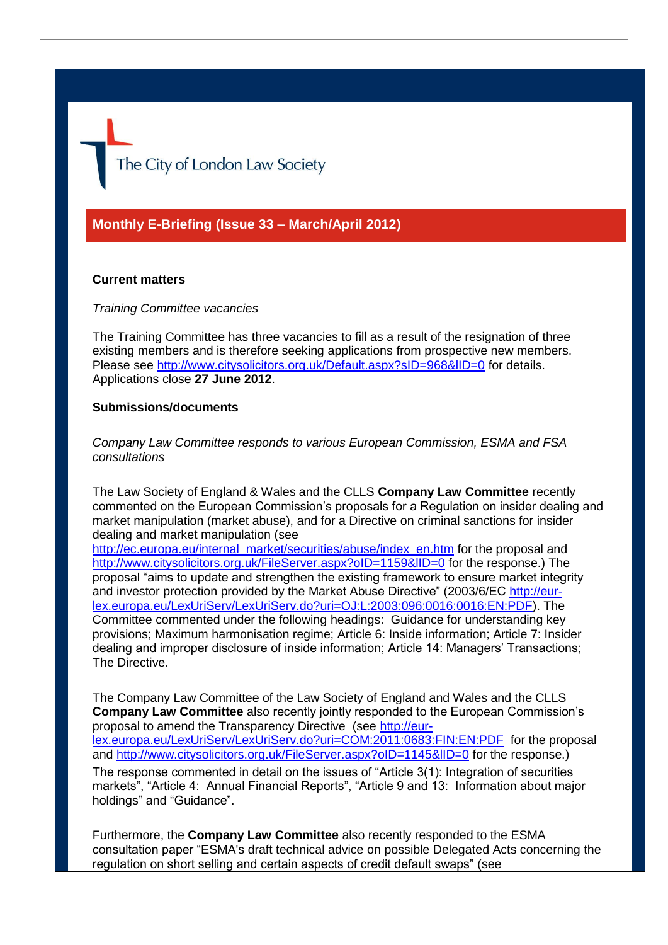The City of London Law Society

**Monthly E-Briefing (Issue 33 – March/April 2012)**

## **Current matters**

### *Training Committee vacancies*

The Training Committee has three vacancies to fill as a result of the resignation of three existing members and is therefore seeking applications from prospective new members. Please see http://www.citysolicitors.org.uk/Default.aspx?sID=968&IID=0 for details. Applications close **27 June 2012**.

## **Submissions/documents**

*Company Law Committee responds to various European Commission, ESMA and FSA consultations*

The Law Society of England & Wales and the CLLS **Company Law Committee** recently commented on the European Commission's proposals for a Regulation on insider dealing and market manipulation (market abuse), and for a Directive on criminal sanctions for insider dealing and market manipulation (see

[http://ec.europa.eu/internal\\_market/securities/abuse/index\\_en.htm](http://ec.europa.eu/internal_market/securities/abuse/index_en.htm) for the proposal and http://www.citysolicitors.org.uk/FileServer.aspx?oID=1159&IID=0 for the response.) The proposal "aims to update and strengthen the existing framework to ensure market integrity and investor protection provided by the Market Abuse Directive" (2003/6/EC http://eurlex.europa.eu/LexUriServ/LexUriServ.do?uri=OJ:L:2003:096:0016:0016:EN:PDF). The Committee commented under the following headings: Guidance for understanding key provisions; Maximum harmonisation regime; Article 6: Inside information; Article 7: Insider dealing and improper disclosure of inside information; Article 14: Managers' Transactions; The Directive.

The Company Law Committee of the Law Society of England and Wales and the CLLS **Company Law Committee** also recently jointly responded to the European Commission's proposal to amend the Transparency Directive (see http://eurlex.europa.eu/LexUriServ/LexUriServ.do?uri=COM:2011:0683:FIN:EN:PDF for the proposal and http://www.citysolicitors.org.uk/FileServer.aspx?oID=1145&IID=0 for the response.) The response commented in detail on the issues of "Article 3(1): Integration of securities markets", "Article 4: Annual Financial Reports", "Article 9 and 13: Information about major holdings" and "Guidance".

Furthermore, the **Company Law Committee** also recently responded to the ESMA consultation paper "ESMA's draft technical advice on possible Delegated Acts concerning the regulation on short selling and certain aspects of credit default swaps" (see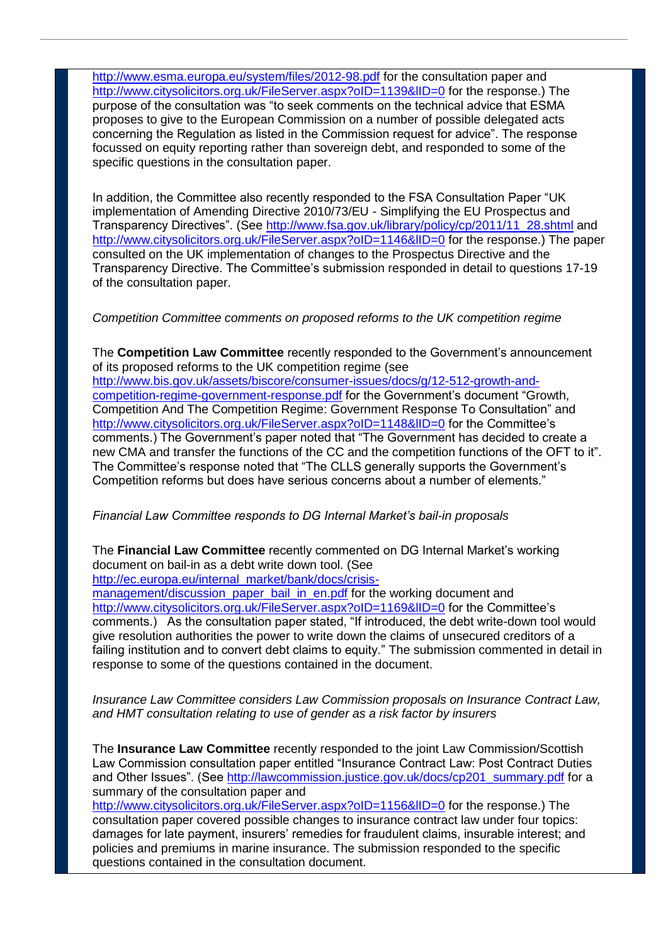http://www.esma.europa.eu/system/files/2012-98.pdf for the consultation paper and http://www.citysolicitors.org.uk/FileServer.aspx?oID=1139&IID=0 for the response.) The purpose of the consultation was "to seek comments on the technical advice that ESMA proposes to give to the European Commission on a number of possible delegated acts concerning the Regulation as listed in the Commission request for advice". The response focussed on equity reporting rather than sovereign debt, and responded to some of the specific questions in the consultation paper.

In addition, the Committee also recently responded to the FSA Consultation Paper "UK implementation of Amending Directive 2010/73/EU - Simplifying the EU Prospectus and Transparency Directives". (See http://www.fsa.gov.uk/library/policy/cp/2011/11\_28.shtml and http://www.citysolicitors.org.uk/FileServer.aspx?oID=1146&IID=0 for the response.) The paper consulted on the UK implementation of changes to the Prospectus Directive and the Transparency Directive. The Committee's submission responded in detail to questions 17-19 of the consultation paper.

# *Competition Committee comments on proposed reforms to the UK competition regime*

The **Competition Law Committee** recently responded to the Government's announcement of its proposed reforms to the UK competition regime (see http://www.bis.gov.uk/assets/biscore/consumer-issues/docs/g/12-512-growth-andcompetition-regime-government-response.pdf for the Government's document "Growth, Competition And The Competition Regime: Government Response To Consultation" and http://www.citysolicitors.org.uk/FileServer.aspx?oID=1148&IID=0 for the Committee's comments.) The Government's paper noted that "The Government has decided to create a new CMA and transfer the functions of the CC and the competition functions of the OFT to it". The Committee's response noted that "The CLLS generally supports the Government's Competition reforms but does have serious concerns about a number of elements."

# *Financial Law Committee responds to DG Internal Market's bail-in proposals*

The **Financial Law Committee** recently commented on DG Internal Market's working document on bail-in as a debt write down tool. (See

http://ec.europa.eu/internal\_market/bank/docs/crisis-

management/discussion\_paper\_bail\_in\_en.pdf for the working document and http://www.citysolicitors.org.uk/FileServer.aspx?oID=1169&IID=0 for the Committee's comments.) As the consultation paper stated, "If introduced, the debt write-down tool would give resolution authorities the power to write down the claims of unsecured creditors of a failing institution and to convert debt claims to equity." The submission commented in detail in response to some of the questions contained in the document.

# *Insurance Law Committee considers Law Commission proposals on Insurance Contract Law, and HMT consultation relating to use of gender as a risk factor by insurers*

The **Insurance Law Committee** recently responded to the joint Law Commission/Scottish Law Commission consultation paper entitled "Insurance Contract Law: Post Contract Duties and Other Issues". (See http://lawcommission.justice.gov.uk/docs/cp201\_summary.pdf for a summary of the consultation paper and

http://www.citysolicitors.org.uk/FileServer.aspx?oID=1156&IID=0 for the response.) The consultation paper covered possible changes to insurance contract law under four topics: damages for late payment, insurers' remedies for fraudulent claims, insurable interest; and policies and premiums in marine insurance. The submission responded to the specific questions contained in the consultation document.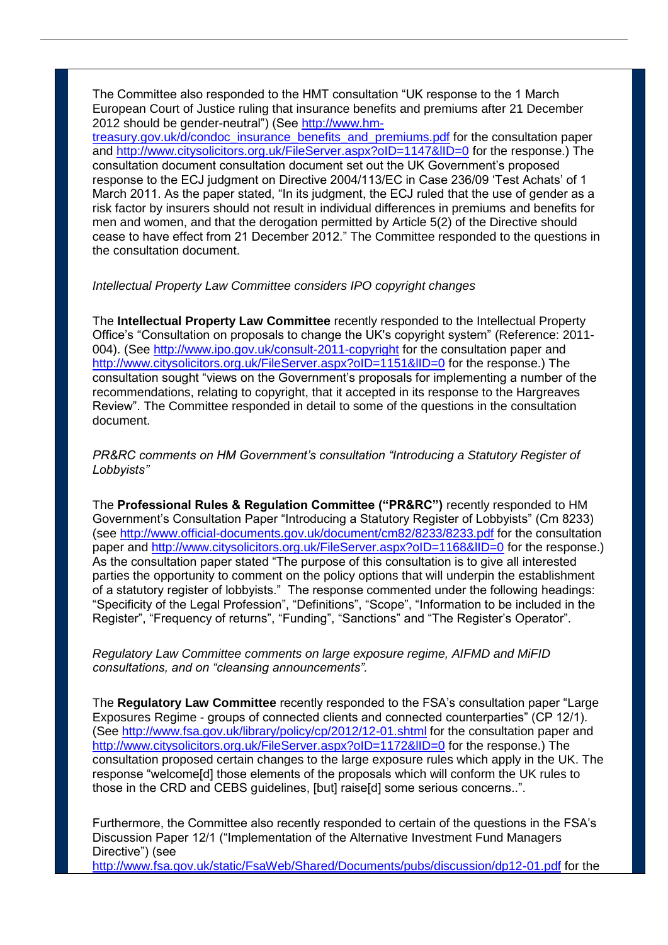The Committee also responded to the HMT consultation "UK response to the 1 March European Court of Justice ruling that insurance benefits and premiums after 21 December 2012 should be gender-neutral") (See http://www.hm-

treasury.gov.uk/d/condoc\_insurance\_benefits\_and\_premiums.pdf for the consultation paper and http://www.citysolicitors.org.uk/FileServer.aspx?oID=1147&IID=0 for the response.) The consultation document consultation document set out the UK Government's proposed response to the ECJ judgment on Directive 2004/113/EC in Case 236/09 'Test Achats' of 1 March 2011. As the paper stated, "In its judgment, the ECJ ruled that the use of gender as a risk factor by insurers should not result in individual differences in premiums and benefits for men and women, and that the derogation permitted by Article 5(2) of the Directive should cease to have effect from 21 December 2012." The Committee responded to the questions in the consultation document.

## *Intellectual Property Law Committee considers IPO copyright changes*

The **Intellectual Property Law Committee** recently responded to the Intellectual Property Office's "Consultation on proposals to change the UK's copyright system" (Reference: 2011- 004). (See http://www.ipo.gov.uk/consult-2011-copyright for the consultation paper and http://www.citysolicitors.org.uk/FileServer.aspx?oID=1151&IID=0 for the response.) The consultation sought "views on the Government's proposals for implementing a number of the recommendations, relating to copyright, that it accepted in its response to the Hargreaves Review". The Committee responded in detail to some of the questions in the consultation document.

*PR&RC comments on HM Government's consultation "Introducing a Statutory Register of Lobbyists"*

The **Professional Rules & Regulation Committee ("PR&RC")** recently responded to HM Government's Consultation Paper "Introducing a Statutory Register of Lobbyists" (Cm 8233) (see http://www.official-documents.gov.uk/document/cm82/8233/8233.pdf for the consultation paper and http://www.citysolicitors.org.uk/FileServer.aspx?oID=1168&IID=0 for the response.) As the consultation paper stated "The purpose of this consultation is to give all interested parties the opportunity to comment on the policy options that will underpin the establishment of a statutory register of lobbyists." The response commented under the following headings: "Specificity of the Legal Profession", "Definitions", "Scope", "Information to be included in the Register", "Frequency of returns", "Funding", "Sanctions" and "The Register's Operator".

*Regulatory Law Committee comments on large exposure regime, AIFMD and MiFID consultations, and on "cleansing announcements".* 

The **Regulatory Law Committee** recently responded to the FSA's consultation paper "Large Exposures Regime - groups of connected clients and connected counterparties" (CP 12/1). (See http://www.fsa.gov.uk/library/policy/cp/2012/12-01.shtml for the consultation paper and http://www.citysolicitors.org.uk/FileServer.aspx?oID=1172&IID=0 for the response.) The consultation proposed certain changes to the large exposure rules which apply in the UK. The response "welcome[d] those elements of the proposals which will conform the UK rules to those in the CRD and CEBS guidelines, [but] raise[d] some serious concerns..".

Furthermore, the Committee also recently responded to certain of the questions in the FSA's Discussion Paper 12/1 ("Implementation of the Alternative Investment Fund Managers Directive") (see

http://www.fsa.gov.uk/static/FsaWeb/Shared/Documents/pubs/discussion/dp12-01.pdf for the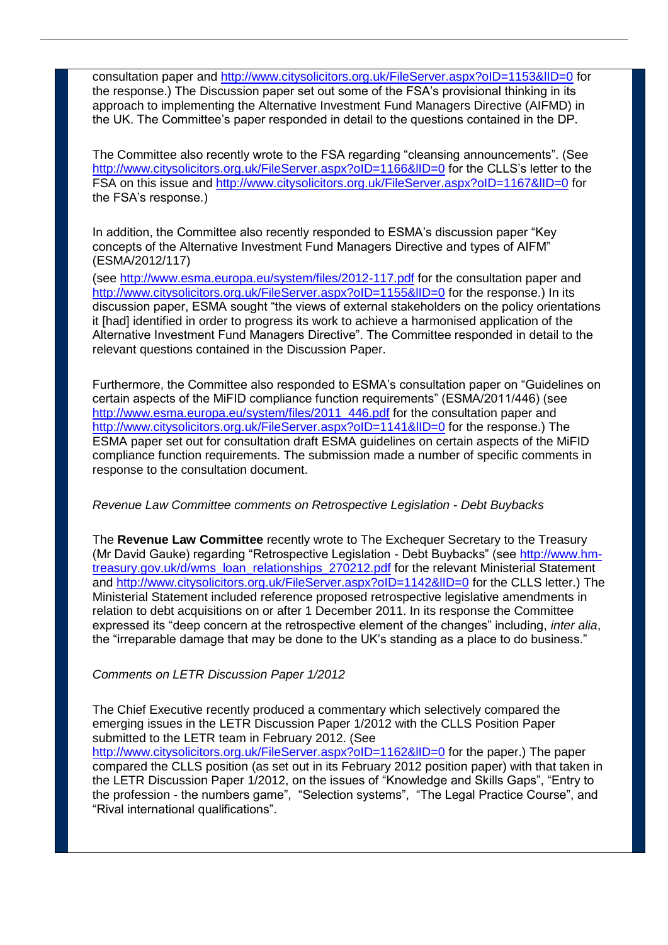consultation paper and http://www.citysolicitors.org.uk/FileServer.aspx?oID=1153&IID=0 for the response.) The Discussion paper set out some of the FSA's provisional thinking in its approach to implementing the Alternative Investment Fund Managers Directive (AIFMD) in the UK. The Committee's paper responded in detail to the questions contained in the DP.

The Committee also recently wrote to the FSA regarding "cleansing announcements". (See http://www.citysolicitors.org.uk/FileServer.aspx?oID=1166&IID=0 for the CLLS's letter to the FSA on this issue and http://www.citysolicitors.org.uk/FileServer.aspx?oID=1167&IID=0 for the FSA's response.)

In addition, the Committee also recently responded to ESMA's discussion paper "Key concepts of the Alternative Investment Fund Managers Directive and types of AIFM" (ESMA/2012/117)

(see http://www.esma.europa.eu/system/files/2012-117.pdf for the consultation paper and http://www.citysolicitors.org.uk/FileServer.aspx?oID=1155&IID=0 for the response.) In its discussion paper, ESMA sought "the views of external stakeholders on the policy orientations it [had] identified in order to progress its work to achieve a harmonised application of the Alternative Investment Fund Managers Directive". The Committee responded in detail to the relevant questions contained in the Discussion Paper.

Furthermore, the Committee also responded to ESMA's consultation paper on "Guidelines on certain aspects of the MiFID compliance function requirements" (ESMA/2011/446) (see http://www.esma.europa.eu/system/files/2011\_446.pdf for the consultation paper and http://www.citysolicitors.org.uk/FileServer.aspx?oID=1141&IID=0 for the response.) The ESMA paper set out for consultation draft ESMA guidelines on certain aspects of the MiFID compliance function requirements. The submission made a number of specific comments in response to the consultation document.

### *Revenue Law Committee comments on Retrospective Legislation - Debt Buybacks*

The **Revenue Law Committee** recently wrote to The Exchequer Secretary to the Treasury (Mr David Gauke) regarding "Retrospective Legislation - Debt Buybacks" (see http://www.hmtreasury.gov.uk/d/wms\_loan\_relationships\_270212.pdf for the relevant Ministerial Statement and http://www.citysolicitors.org.uk/FileServer.aspx?oID=1142&IID=0 for the CLLS letter.) The Ministerial Statement included reference proposed retrospective legislative amendments in relation to debt acquisitions on or after 1 December 2011. In its response the Committee expressed its "deep concern at the retrospective element of the changes" including, *inter alia*, the "irreparable damage that may be done to the UK's standing as a place to do business."

### *Comments on LETR Discussion Paper 1/2012*

The Chief Executive recently produced a commentary which selectively compared the emerging issues in the LETR Discussion Paper 1/2012 with the CLLS Position Paper submitted to the LETR team in February 2012. (See http://www.citysolicitors.org.uk/FileServer.aspx?oID=1162&lID=0 for the paper.) The paper compared the CLLS position (as set out in its February 2012 position paper) with that taken in the LETR Discussion Paper 1/2012, on the issues of "Knowledge and Skills Gaps", "Entry to the profession - the numbers game", "Selection systems", "The Legal Practice Course", and "Rival international qualifications".